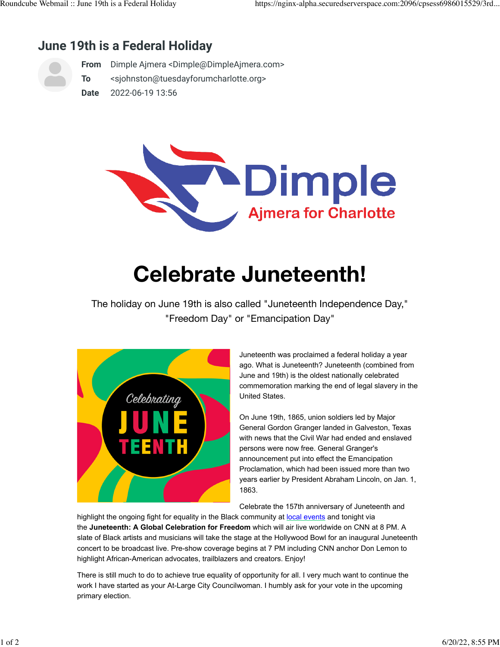## **June 19th is a Federal Holiday**



**From** Dimple Ajmera <Dimple@DimpleAjmera.com>

**To** <sjohnston@tuesdayforumcharlotte.org>

**Date** 2022-06-19 13:56



## **Celebrate Juneteenth!**

The holiday on June 19th is also called "Juneteenth Independence Day," "Freedom Day" or "Emancipation Day"



Juneteenth was proclaimed a federal holiday a year ago. What is Juneteenth? Juneteenth (combined from June and 19th) is the oldest nationally celebrated commemoration marking the end of legal slavery in the United States.

On June 19th, 1865, union soldiers led by Major General Gordon Granger landed in Galveston, Texas with news that the Civil War had ended and enslaved persons were now free. General Granger's announcement put into effect the Emancipation Proclamation, which had been issued more than two years earlier by President Abraham Lincoln, on Jan. 1, 1863.

Celebrate the 157th anniversary of Juneteenth and

highlight the ongoing fight for equality in the Black community at [local events](https://dimpleajmera.us20.list-manage.com/track/click?u=250016483ca323b09fb85d051&id=e4cfed62f7&e=1318c71dbc) and tonight via the **Juneteenth: A Global Celebration for Freedom** which will air live worldwide on CNN at 8 PM. A slate of Black artists and musicians will take the stage at the Hollywood Bowl for an inaugural Juneteenth concert to be broadcast live. Pre-show coverage begins at 7 PM including CNN anchor Don Lemon to highlight African-American advocates, trailblazers and creators. Enjoy!

There is still much to do to achieve true equality of opportunity for all. I very much want to continue the work I have started as your At-Large City Councilwoman. I humbly ask for your vote in the upcoming primary election.